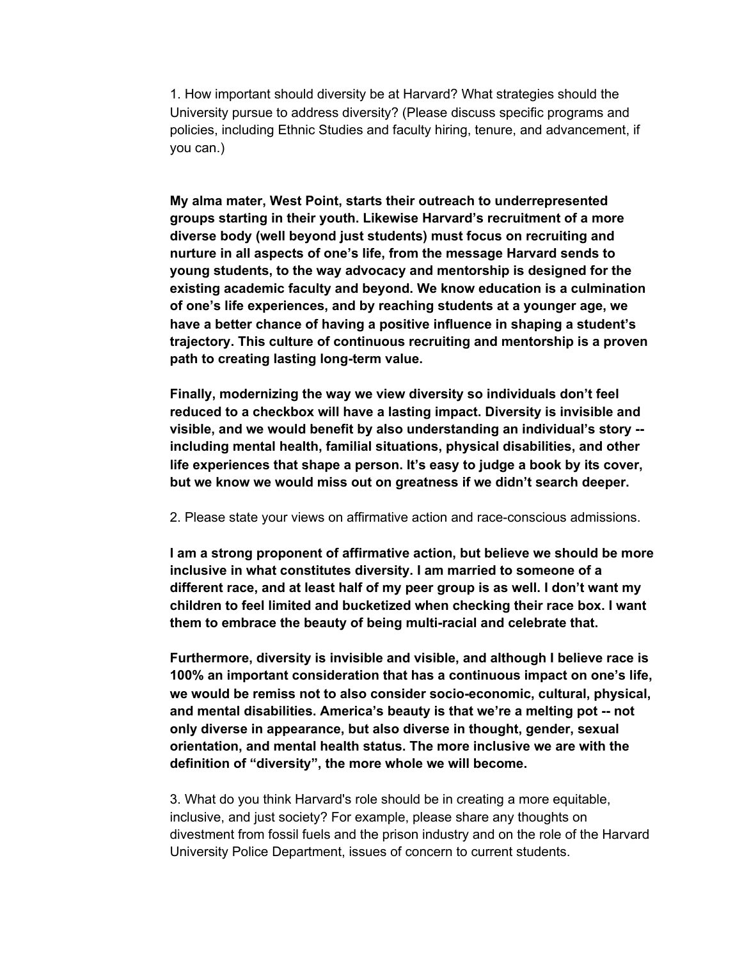1. How important should diversity be at Harvard? What strategies should the University pursue to address diversity? (Please discuss specific programs and policies, including Ethnic Studies and faculty hiring, tenure, and advancement, if you can.)

**My alma mater, West Point, starts their outreach to underrepresented groups starting in their youth. Likewise Harvard's recruitment of a more diverse body (well beyond just students) must focus on recruiting and nurture in all aspects of one's life, from the message Harvard sends to young students, to the way advocacy and mentorship is designed for the existing academic faculty and beyond. We know education is a culmination of one's life experiences, and by reaching students at a younger age, we have a better chance of having a positive influence in shaping a student's trajectory. This culture of continuous recruiting and mentorship is a proven path to creating lasting long-term value.**

**Finally, modernizing the way we view diversity so individuals don't feel reduced to a checkbox will have a lasting impact. Diversity is invisible and visible, and we would benefit by also understanding an individual's story - including mental health, familial situations, physical disabilities, and other life experiences that shape a person. It's easy to judge a book by its cover, but we know we would miss out on greatness if we didn't search deeper.**

## 2. Please state your views on affirmative action and race-conscious admissions.

**I am a strong proponent of affirmative action, but believe we should be more inclusive in what constitutes diversity. I am married to someone of a different race, and at least half of my peer group is as well. I don't want my children to feel limited and bucketized when checking their race box. I want them to embrace the beauty of being multi-racial and celebrate that.**

**Furthermore, diversity is invisible and visible, and although I believe race is 100% an important consideration that has a continuous impact on one's life, we would be remiss not to also consider socio-economic, cultural, physical, and mental disabilities. America's beauty is that we're a melting pot -- not only diverse in appearance, but also diverse in thought, gender, sexual orientation, and mental health status. The more inclusive we are with the definition of "diversity", the more whole we will become.**

3. What do you think Harvard's role should be in creating a more equitable, inclusive, and just society? For example, please share any thoughts on divestment from fossil fuels and the prison industry and on the role of the Harvard University Police Department, issues of concern to current students.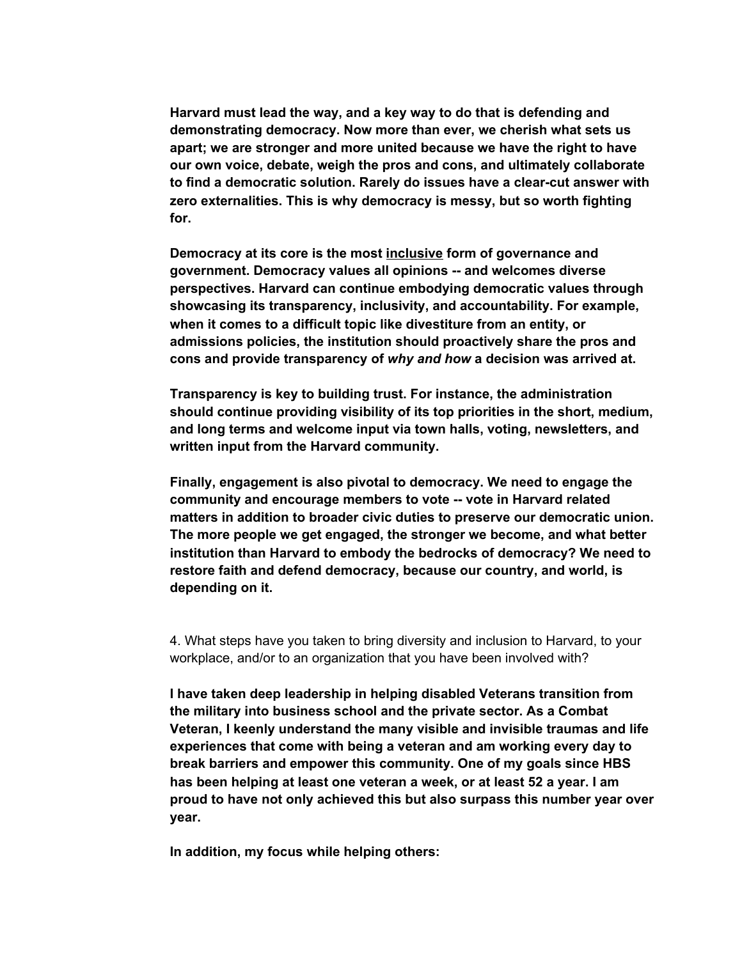**Harvard must lead the way, and a key way to do that is defending and demonstrating democracy. Now more than ever, we cherish what sets us apart; we are stronger and more united because we have the right to have our own voice, debate, weigh the pros and cons, and ultimately collaborate to find a democratic solution. Rarely do issues have a clear-cut answer with zero externalities. This is why democracy is messy, but so worth fighting for.**

**Democracy at its core is the most inclusive form of governance and government. Democracy values all opinions -- and welcomes diverse perspectives. Harvard can continue embodying democratic values through showcasing its transparency, inclusivity, and accountability. For example, when it comes to a difficult topic like divestiture from an entity, or admissions policies, the institution should proactively share the pros and cons and provide transparency of** *why and how* **a decision was arrived at.**

**Transparency is key to building trust. For instance, the administration should continue providing visibility of its top priorities in the short, medium, and long terms and welcome input via town halls, voting, newsletters, and written input from the Harvard community.**

**Finally, engagement is also pivotal to democracy. We need to engage the community and encourage members to vote -- vote in Harvard related matters in addition to broader civic duties to preserve our democratic union. The more people we get engaged, the stronger we become, and what better institution than Harvard to embody the bedrocks of democracy? We need to restore faith and defend democracy, because our country, and world, is depending on it.**

4. What steps have you taken to bring diversity and inclusion to Harvard, to your workplace, and/or to an organization that you have been involved with?

**I have taken deep leadership in helping disabled Veterans transition from the military into business school and the private sector. As a Combat Veteran, I keenly understand the many visible and invisible traumas and life experiences that come with being a veteran and am working every day to break barriers and empower this community. One of my goals since HBS has been helping at least one veteran a week, or at least 52 a year. I am proud to have not only achieved this but also surpass this number year over year.**

**In addition, my focus while helping others:**